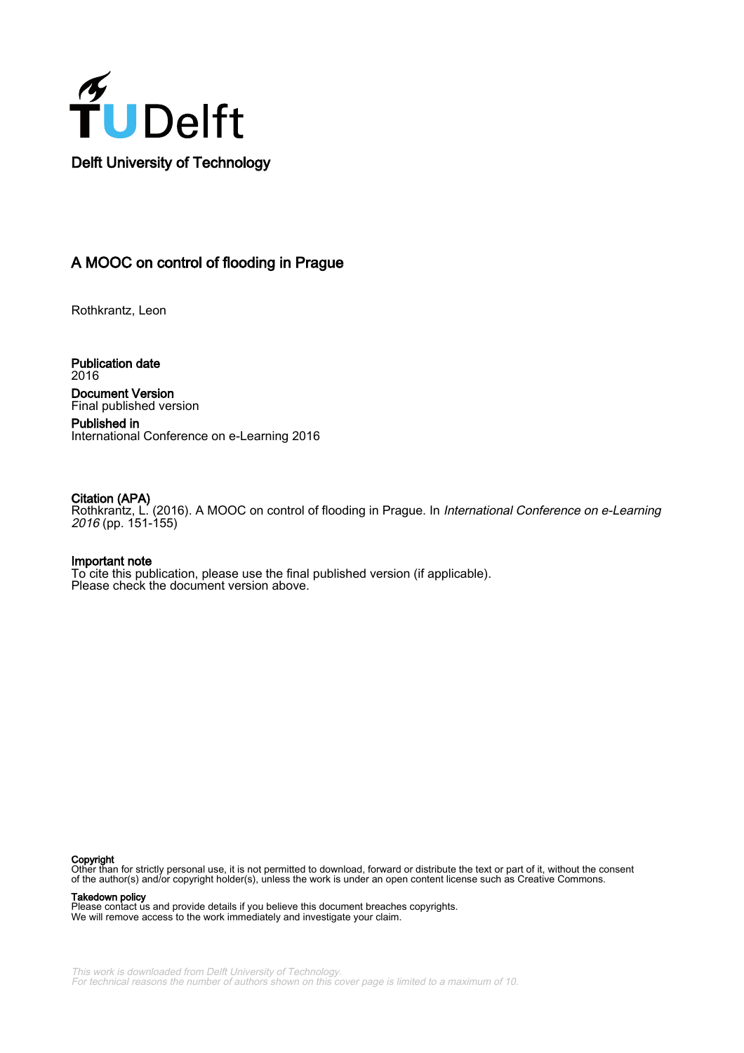

Delft University of Technology

# A MOOC on control of flooding in Prague

Rothkrantz, Leon

Publication date 2016 Document Version Final published version

Published in International Conference on e-Learning 2016

#### Citation (APA)

Rothkrantz, L. (2016). A MOOC on control of flooding in Prague. In International Conference on e-Learning 2016 (pp. 151-155)

#### Important note

To cite this publication, please use the final published version (if applicable). Please check the document version above.

#### Copyright

Other than for strictly personal use, it is not permitted to download, forward or distribute the text or part of it, without the consent of the author(s) and/or copyright holder(s), unless the work is under an open content license such as Creative Commons.

Takedown policy

Please contact us and provide details if you believe this document breaches copyrights. We will remove access to the work immediately and investigate your claim.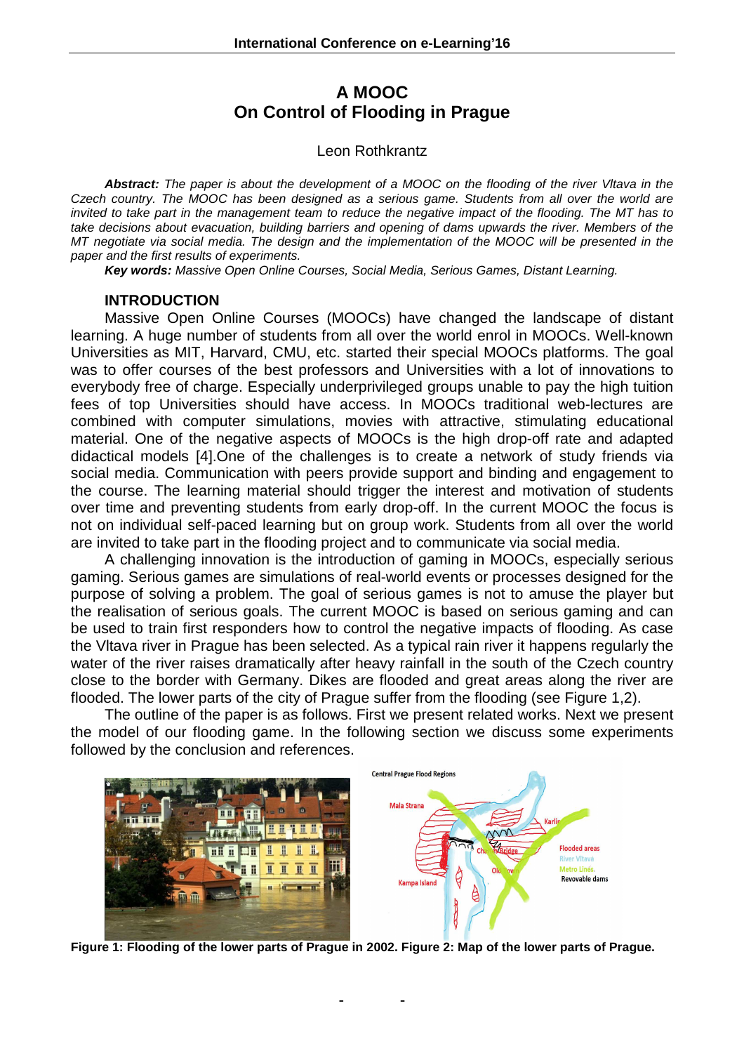# **A MOOC On Control of Flooding in Prague**

## Leon Rothkrantz

**Abstract:** The paper is about the development of a MOOC on the flooding of the river Vltava in the Czech country. The MOOC has been designed as a serious game. Students from all over the world are invited to take part in the management team to reduce the negative impact of the flooding. The MT has to take decisions about evacuation, building barriers and opening of dams upwards the river. Members of the MT negotiate via social media. The design and the implementation of the MOOC will be presented in the paper and the first results of experiments.

**Key words:** Massive Open Online Courses, Social Media, Serious Games, Distant Learning.

## **INTRODUCTION**

Massive Open Online Courses (MOOCs) have changed the landscape of distant learning. A huge number of students from all over the world enrol in MOOCs. Well-known Universities as MIT, Harvard, CMU, etc. started their special MOOCs platforms. The goal was to offer courses of the best professors and Universities with a lot of innovations to everybody free of charge. Especially underprivileged groups unable to pay the high tuition fees of top Universities should have access. In MOOCs traditional web-lectures are combined with computer simulations, movies with attractive, stimulating educational material. One of the negative aspects of MOOCs is the high drop-off rate and adapted didactical models [4].One of the challenges is to create a network of study friends via social media. Communication with peers provide support and binding and engagement to the course. The learning material should trigger the interest and motivation of students over time and preventing students from early drop-off. In the current MOOC the focus is not on individual self-paced learning but on group work. Students from all over the world are invited to take part in the flooding project and to communicate via social media.

A challenging innovation is the introduction of gaming in MOOCs, especially serious gaming. Serious games are simulations of real-world events or processes designed for the purpose of solving a problem. The goal of serious games is not to amuse the player but the realisation of serious goals. The current MOOC is based on serious gaming and can be used to train first responders how to control the negative impacts of flooding. As case the Vltava river in Prague has been selected. As a typical rain river it happens regularly the water of the river raises dramatically after heavy rainfall in the south of the Czech country close to the border with Germany. Dikes are flooded and great areas along the river are flooded. The lower parts of the city of Prague suffer from the flooding (see Figure 1,2).

The outline of the paper is as follows. First we present related works. Next we present the model of our flooding game. In the following section we discuss some experiments followed by the conclusion and references.



**Figure 1: Flooding of the lower parts of Prague in 2002. Figure 2: Map of the lower parts of Prague.**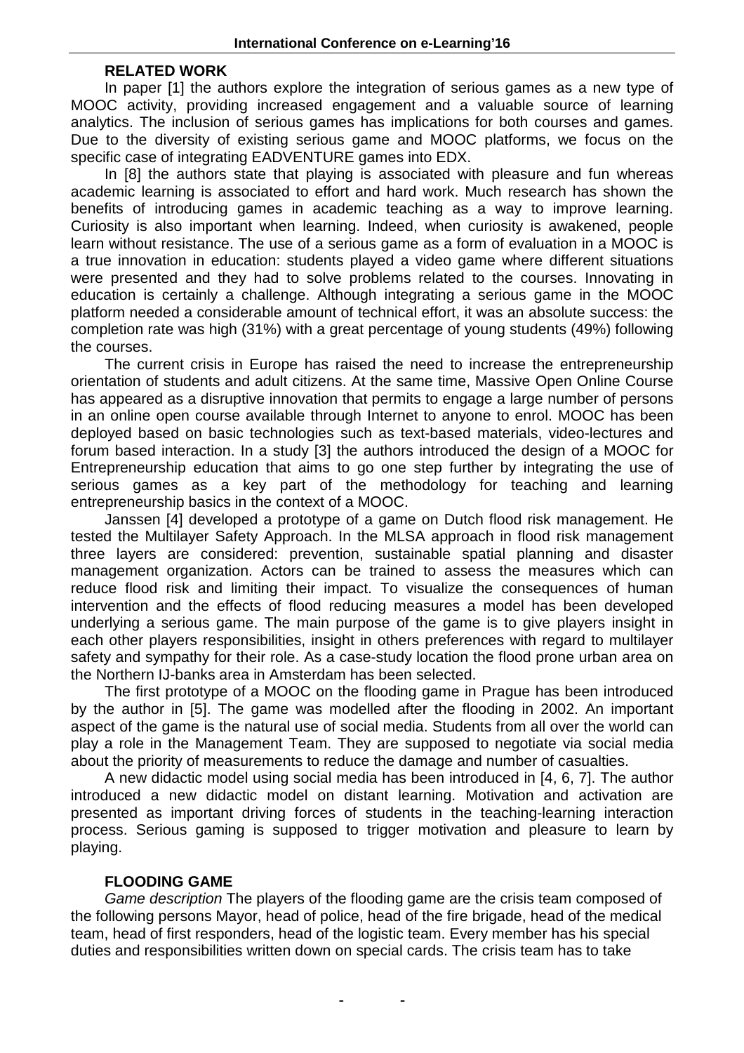## **RELATED WORK**

In paper [1] the authors explore the integration of serious games as a new type of MOOC activity, providing increased engagement and a valuable source of learning analytics. The inclusion of serious games has implications for both courses and games. Due to the diversity of existing serious game and MOOC platforms, we focus on the specific case of integrating EADVENTURE games into EDX.

In [8] the authors state that playing is associated with pleasure and fun whereas academic learning is associated to effort and hard work. Much research has shown the benefits of introducing games in academic teaching as a way to improve learning. Curiosity is also important when learning. Indeed, when curiosity is awakened, people learn without resistance. The use of a serious game as a form of evaluation in a MOOC is a true innovation in education: students played a video game where different situations were presented and they had to solve problems related to the courses. Innovating in education is certainly a challenge. Although integrating a serious game in the MOOC platform needed a considerable amount of technical effort, it was an absolute success: the completion rate was high (31%) with a great percentage of young students (49%) following the courses.

The current crisis in Europe has raised the need to increase the entrepreneurship orientation of students and adult citizens. At the same time, Massive Open Online Course has appeared as a disruptive innovation that permits to engage a large number of persons in an online open course available through Internet to anyone to enrol. MOOC has been deployed based on basic technologies such as text-based materials, video-lectures and forum based interaction. In a study [3] the authors introduced the design of a MOOC for Entrepreneurship education that aims to go one step further by integrating the use of serious games as a key part of the methodology for teaching and learning entrepreneurship basics in the context of a MOOC.

Janssen [4] developed a prototype of a game on Dutch flood risk management. He tested the Multilayer Safety Approach. In the MLSA approach in flood risk management three layers are considered: prevention, sustainable spatial planning and disaster management organization. Actors can be trained to assess the measures which can reduce flood risk and limiting their impact. To visualize the consequences of human intervention and the effects of flood reducing measures a model has been developed underlying a serious game. The main purpose of the game is to give players insight in each other players responsibilities, insight in others preferences with regard to multilayer safety and sympathy for their role. As a case-study location the flood prone urban area on the Northern IJ-banks area in Amsterdam has been selected.

The first prototype of a MOOC on the flooding game in Prague has been introduced by the author in [5]. The game was modelled after the flooding in 2002. An important aspect of the game is the natural use of social media. Students from all over the world can play a role in the Management Team. They are supposed to negotiate via social media about the priority of measurements to reduce the damage and number of casualties.

A new didactic model using social media has been introduced in [4, 6, 7]. The author introduced a new didactic model on distant learning. Motivation and activation are presented as important driving forces of students in the teaching-learning interaction process. Serious gaming is supposed to trigger motivation and pleasure to learn by playing.

## **FLOODING GAME**

Game description The players of the flooding game are the crisis team composed of the following persons Mayor, head of police, head of the fire brigade, head of the medical team, head of first responders, head of the logistic team. Every member has his special duties and responsibilities written down on special cards. The crisis team has to take

**- -**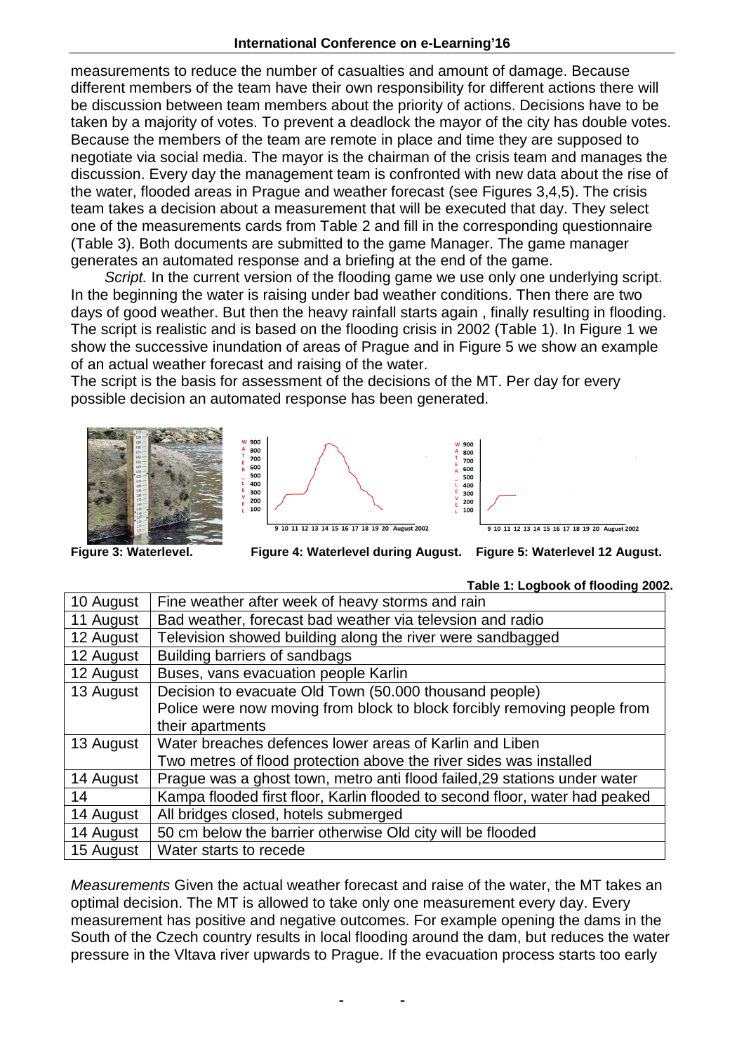measurements to reduce the number of casualties and amount of damage. Because different members of the team have their own responsibility for different actions there will be discussion between team members about the priority of actions. Decisions have to be taken by a majority of votes. To prevent a deadlock the mayor of the city has double votes. Because the members of the team are remote in place and time they are supposed to negotiate via social media. The mayor is the chairman of the crisis team and manages the discussion. Every day the management team is confronted with new data about the rise of the water, flooded areas in Prague and weather forecast (see Figures 3,4,5). The crisis team takes a decision about a measurement that will be executed that day. They select one of the measurements cards from Table 2 and fill in the corresponding questionnaire (Table 3). Both documents are submitted to the game Manager. The game manager generates an automated response and a briefing at the end of the game.

Script. In the current version of the flooding game we use only one underlying script. In the beginning the water is raising under bad weather conditions. Then there are two days of good weather. But then the heavy rainfall starts again , finally resulting in flooding. The script is realistic and is based on the flooding crisis in 2002 (Table 1). In Figure 1 we show the successive inundation of areas of Prague and in Figure 5 we show an example of an actual weather forecast and raising of the water.

The script is the basis for assessment of the decisions of the MT. Per day for every possible decision an automated response has been generated.



Figure 3: Waterlevel.

**Figure 3: Waterlevel. Figure 4: Waterlevel during August. Figure 5: Waterlevel 12 August.**

| 10 August | Fine weather after week of heavy storms and rain                            |
|-----------|-----------------------------------------------------------------------------|
| 11 August | Bad weather, forecast bad weather via televsion and radio                   |
| 12 August | Television showed building along the river were sandbagged                  |
| 12 August | Building barriers of sandbags                                               |
| 12 August | Buses, vans evacuation people Karlin                                        |
| 13 August | Decision to evacuate Old Town (50.000 thousand people)                      |
|           | Police were now moving from block to block forcibly removing people from    |
|           | their apartments                                                            |
| 13 August | Water breaches defences lower areas of Karlin and Liben                     |
|           | Two metres of flood protection above the river sides was installed          |
| 14 August | Prague was a ghost town, metro anti flood failed, 29 stations under water   |
| 14        | Kampa flooded first floor, Karlin flooded to second floor, water had peaked |
| 14 August | All bridges closed, hotels submerged                                        |
| 14 August | 50 cm below the barrier otherwise Old city will be flooded                  |
| 15 August | Water starts to recede                                                      |

Measurements Given the actual weather forecast and raise of the water, the MT takes an optimal decision. The MT is allowed to take only one measurement every day. Every measurement has positive and negative outcomes. For example opening the dams in the South of the Czech country results in local flooding around the dam, but reduces the water pressure in the Vltava river upwards to Prague. If the evacuation process starts too early

**- -** 

# **Table 1: Logbook of flooding 2002.**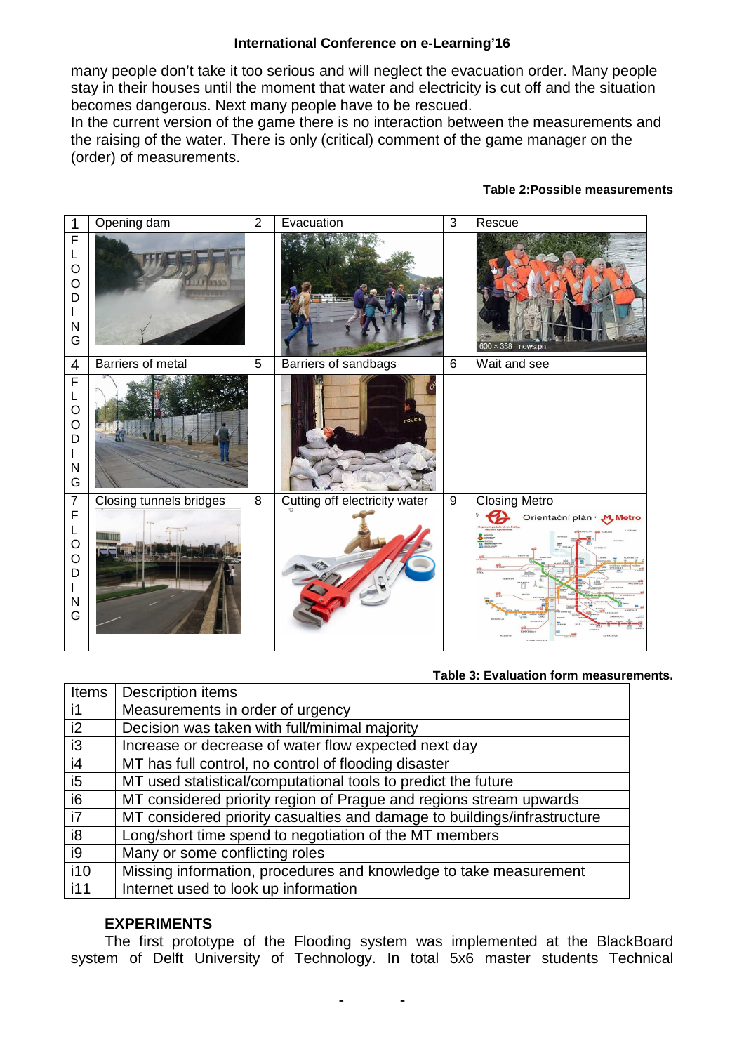many people don't take it too serious and will neglect the evacuation order. Many people stay in their houses until the moment that water and electricity is cut off and the situation becomes dangerous. Next many people have to be rescued.

In the current version of the game there is no interaction between the measurements and the raising of the water. There is only (critical) comment of the game manager on the (order) of measurements.

## **Table 2:Possible measurements**

| $\mathbf 1$                                                                      | Opening dam              | $\overline{2}$ | Evacuation                    | $\mathfrak{S}$ | Rescue                      |
|----------------------------------------------------------------------------------|--------------------------|----------------|-------------------------------|----------------|-----------------------------|
| $\mathsf F$<br>L<br>$\circ$<br>$\circ$<br>D<br>L<br>$\overline{\mathsf{N}}$<br>G |                          |                |                               |                | $600 \times 388$ - news.pn  |
| $\overline{4}$                                                                   | <b>Barriers of metal</b> | $\overline{5}$ | Barriers of sandbags          | $\,6\,$        | Wait and see                |
| $\mathsf F$<br>L<br>$\circ$<br>$\circ$<br>D<br>N<br>G                            |                          |                | POLICIE                       |                |                             |
| $\overline{7}$                                                                   | Closing tunnels bridges  | $\overline{8}$ | Cutting off electricity water | 9              | <b>Closing Metro</b>        |
| F<br>L<br>$\circ$<br>$\circ$<br>D<br>$\mathsf{N}$<br>G                           | wm                       |                |                               |                | Orientační plán · "M. Metro |

#### **Table 3: Evaluation form measurements.**

| <b>Items</b> | Description items                                                        |
|--------------|--------------------------------------------------------------------------|
| $\mathsf{I}$ | Measurements in order of urgency                                         |
| i2           | Decision was taken with full/minimal majority                            |
| i3           | Increase or decrease of water flow expected next day                     |
| i4           | MT has full control, no control of flooding disaster                     |
| i5           | MT used statistical/computational tools to predict the future            |
| i6           | MT considered priority region of Prague and regions stream upwards       |
| i i7         | MT considered priority casualties and damage to buildings/infrastructure |
| i8           | Long/short time spend to negotiation of the MT members                   |
| i9           | Many or some conflicting roles                                           |
| i10          | Missing information, procedures and knowledge to take measurement        |
| i11          | Internet used to look up information                                     |

## **EXPERIMENTS**

The first prototype of the Flooding system was implemented at the BlackBoard system of Delft University of Technology. In total 5x6 master students Technical

**- -**